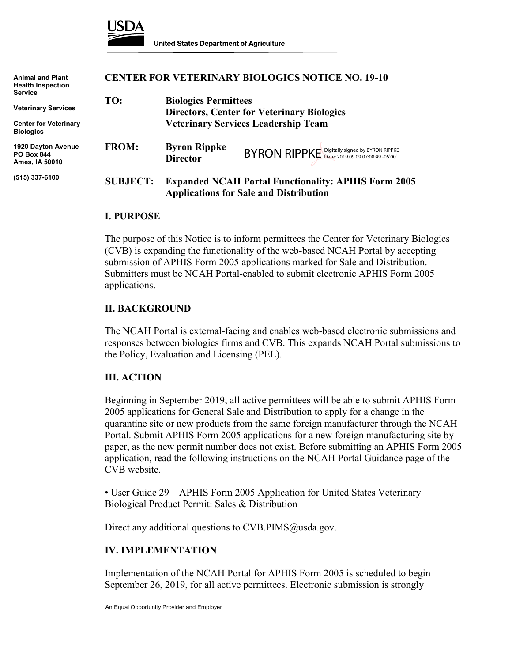

| <b>Animal and Plant</b><br><b>Health Inspection</b><br><b>Service</b> | <b>CENTER FOR VETERINARY BIOLOGICS NOTICE NO. 19-10</b> |                                                                                                             |                                               |
|-----------------------------------------------------------------------|---------------------------------------------------------|-------------------------------------------------------------------------------------------------------------|-----------------------------------------------|
|                                                                       | TO:                                                     | <b>Biologics Permittees</b>                                                                                 |                                               |
| <b>Veterinary Services</b>                                            |                                                         | <b>Directors, Center for Veterinary Biologics</b>                                                           |                                               |
| <b>Center for Veterinary</b><br><b>Biologics</b>                      |                                                         | <b>Veterinary Services Leadership Team</b>                                                                  |                                               |
| 1920 Dayton Avenue<br><b>PO Box 844</b><br>Ames, IA 50010             | <b>FROM:</b>                                            | <b>Byron Rippke</b><br><b>Director</b>                                                                      | BYRON RIPPKE Digitally signed by BYRON RIPPKE |
| (515) 337-6100                                                        | <b>SUBJECT:</b>                                         | <b>Expanded NCAH Portal Functionality: APHIS Form 2005</b><br><b>Applications for Sale and Distribution</b> |                                               |

#### **I. PURPOSE**

The purpose of this Notice is to inform permittees the Center for Veterinary Biologics (CVB) is expanding the functionality of the web-based NCAH Portal by accepting submission of APHIS Form 2005 applications marked for Sale and Distribution. Submitters must be NCAH Portal-enabled to submit electronic APHIS Form 2005 applications.

## **II. BACKGROUND**

The NCAH Portal is external-facing and enables web-based electronic submissions and responses between biologics firms and CVB. This expands NCAH Portal submissions to the Policy, Evaluation and Licensing (PEL).

### **III. ACTION**

Beginning in September 2019, all active permittees will be able to submit APHIS Form 2005 applications for General Sale and Distribution to apply for a change in the quarantine site or new products from the same foreign manufacturer through the NCAH Portal. Submit APHIS Form 2005 applications for a new foreign manufacturing site by paper, as the new permit number does not exist. Before submitting an APHIS Form 2005 application, read the following instructions on the NCAH Portal Guidance page of the CVB website.

• User Guide 29—APHIS Form 2005 Application for United States Veterinary Biological Product Permit: Sales & Distribution

Direct any additional questions to CVB.PIMS@usda.gov.

### **IV. IMPLEMENTATION**

Implementation of the NCAH Portal for APHIS Form 2005 is scheduled to begin September 26, 2019, for all active permittees. Electronic submission is strongly